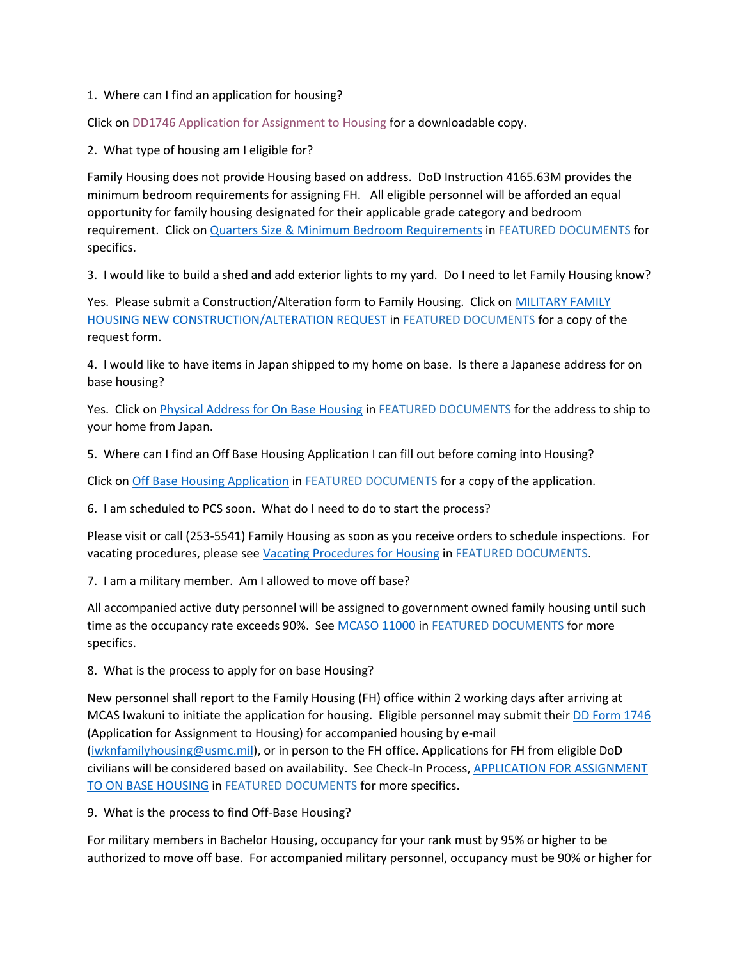## 1. Where can I find an application for housing?

Click on [DD1746 Application for Assignment to Housing](https://www.esd.whs.mil/Portals/54/Documents/DD/forms/dd/dd1746.pdf) for a downloadable copy.

## 2. What type of housing am I eligible for?

Family Housing does not provide Housing based on address. DoD Instruction 4165.63M provides the minimum bedroom requirements for assigning FH. All eligible personnel will be afforded an equal opportunity for family housing designated for their applicable grade category and bedroom requirement. Click on Quarters Size [& Minimum Bedroom Requirements](https://www.mcasiwakuni.marines.mil/Portals/112/Docs/MFH/Quarters_Size_Minimum_Bedroom_Requirements.pdf) in FEATURED DOCUMENTS for specifics.

3. I would like to build a shed and add exterior lights to my yard. Do I need to let Family Housing know?

Yes. Please submit a Construction/Alteration form to Family Housing. Click on MILITARY FAMILY [HOUSING NEW CONSTRUCTION/ALTERATION REQUEST](https://www.mcasiwakuni.marines.mil/Portals/112/Docs/MFH/Construction_Alteration_Request_20210826.pdf) in FEATURED DOCUMENTS for a copy of the request form.

4. I would like to have items in Japan shipped to my home on base. Is there a Japanese address for on base housing?

Yes. Click on [Physical Address for On Base Housing](https://www.mcasiwakuni.marines.mil/Portals/112/Docs/MFH/Physical_Address_for_On-Base_Housing_20210826.pdf) in FEATURED DOCUMENTS for the address to ship to your home from Japan.

5. Where can I find an Off Base Housing Application I can fill out before coming into Housing?

Click on [Off Base Housing Application](https://www.mcasiwakuni.marines.mil/Portals/112/Docs/MFH/Off_Base_Housing_Application_20210826.pdf) in FEATURED DOCUMENTS for a copy of the application.

6. I am scheduled to PCS soon. What do I need to do to start the process?

Please visit or call (253-5541) Family Housing as soon as you receive orders to schedule inspections. For vacating procedures, please see [Vacating Procedures for Housing](https://www.mcasiwakuni.marines.mil/Portals/112/Docs/MFH/Vacating_Procedures_20210826.pdf) in FEATURED DOCUMENTS.

7. I am a military member. Am I allowed to move off base?

All accompanied active duty personnel will be assigned to government owned family housing until such time as the occupancy rate exceeds 90%. Se[e MCASO 11000](https://www.mcasiwakuni.marines.mil/Portals/112/Docs/MFH/MCASO_11100.pdf) in FEATURED DOCUMENTS for more specifics.

8. What is the process to apply for on base Housing?

New personnel shall report to the Family Housing (FH) office within 2 working days after arriving at MCAS Iwakuni to initiate the application for housing. Eligible personnel may submit thei[r DD Form 1746](https://www.esd.whs.mil/Portals/54/Documents/DD/forms/dd/dd1746.pdf) (Application for Assignment to Housing) for accompanied housing by e-mail [\(iwknfamilyhousing@usmc.mil\)](mailto:iwknfamilyhousing@usmc.mil), or in person to the FH office. Applications for FH from eligible DoD civilians will be considered based on availability. See Check-In Process, [APPLICATION FOR ASSIGNMENT](https://www.mcasiwakuni.marines.mil/Portals/112/Docs/MFH/Check-In_Process_Application_for_Assignment_to_On_Base_Housing_20210826.pdf)  [TO ON BASE HOUSING](https://www.mcasiwakuni.marines.mil/Portals/112/Docs/MFH/Check-In_Process_Application_for_Assignment_to_On_Base_Housing_20210826.pdf) in FEATURED DOCUMENTS for more specifics.

9. What is the process to find Off-Base Housing?

For military members in Bachelor Housing, occupancy for your rank must by 95% or higher to be authorized to move off base. For accompanied military personnel, occupancy must be 90% or higher for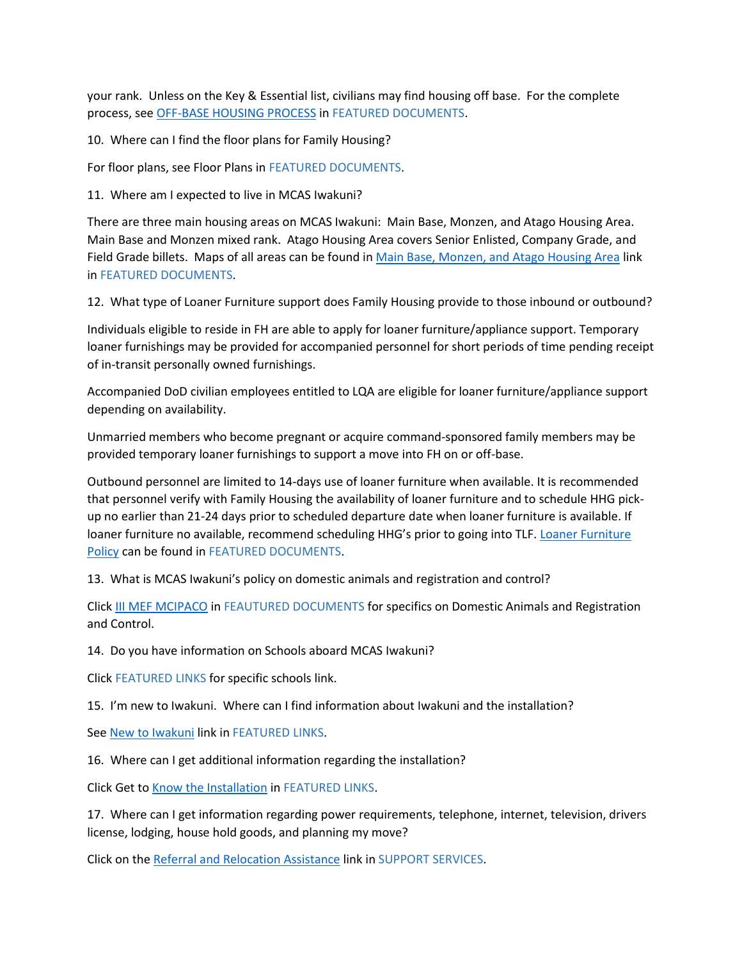your rank. Unless on the Key & Essential list, civilians may find housing off base. For the complete process, see [OFF-BASE HOUSING PROCESS](https://www.mcasiwakuni.marines.mil/Portals/112/Docs/MFH/PROCESS_FOR_OFF-BASE_HOUSING.pdf) in FEATURED DOCUMENTS.

10. Where can I find the floor plans for Family Housing?

For floor plans, see Floor Plans in FEATURED DOCUMENTS.

11. Where am I expected to live in MCAS Iwakuni?

There are three main housing areas on MCAS Iwakuni: Main Base, Monzen, and Atago Housing Area. Main Base and Monzen mixed rank. Atago Housing Area covers Senior Enlisted, Company Grade, and Field Grade billets. Maps of all areas can be found in [Main Base, Monzen, and Atago Housing Area](https://www.mcasiwakuni.marines.mil/Portals/112/Docs/MFH/Housing_Areas_Driving_Time.pdf) link in FEATURED DOCUMENTS.

12. What type of Loaner Furniture support does Family Housing provide to those inbound or outbound?

Individuals eligible to reside in FH are able to apply for loaner furniture/appliance support. Temporary loaner furnishings may be provided for accompanied personnel for short periods of time pending receipt of in-transit personally owned furnishings.

Accompanied DoD civilian employees entitled to LQA are eligible for loaner furniture/appliance support depending on availability.

Unmarried members who become pregnant or acquire command-sponsored family members may be provided temporary loaner furnishings to support a move into FH on or off-base.

Outbound personnel are limited to 14-days use of loaner furniture when available. It is recommended that personnel verify with Family Housing the availability of loaner furniture and to schedule HHG pickup no earlier than 21-24 days prior to scheduled departure date when loaner furniture is available. If loaner furniture no available, recommend scheduling HHG's prior to going into TLF. [Loaner Furniture](https://www.mcasiwakuni.marines.mil/Portals/112/Docs/MFH/Loaner_Furniture_Policy.pdf)  [Policy](https://www.mcasiwakuni.marines.mil/Portals/112/Docs/MFH/Loaner_Furniture_Policy.pdf) can be found in FEATURED DOCUMENTS.

13. What is MCAS Iwakuni's policy on domestic animals and registration and control?

Click [III MEF MCIPACO](https://www.mcasiwakuni.marines.mil/Portals/112/Docs/MFH/MCIPACO_10570.1.pdf) in FEAUTURED DOCUMENTS for specifics on Domestic Animals and Registration and Control.

14. Do you have information on Schools aboard MCAS Iwakuni?

Click FEATURED LINKS for specific schools link.

15. I'm new to Iwakuni. Where can I find information about Iwakuni and the installation?

Se[e New to Iwakuni](https://mccsiwakuni.com/home/marine-family/cultural-relocation-resources/new-to-iwakuni/) link in FEATURED LINKS.

16. Where can I get additional information regarding the installation?

Click Get t[o Know the Installation](https://installations.militaryonesource.mil/military-installation/marine-corps-air-station-iwakuni) in FEATURED LINKS.

17. Where can I get information regarding power requirements, telephone, internet, television, drivers license, lodging, house hold goods, and planning my move?

Click on th[e Referral and Relocation Assistance](http://www.mcasiwakuni.marines.mil/Organizations/Station/Facilities/Military-Housing-Division-210805/Military-Family-Housing/Referral-and-Relocation-Assistance/) link in SUPPORT SERVICES.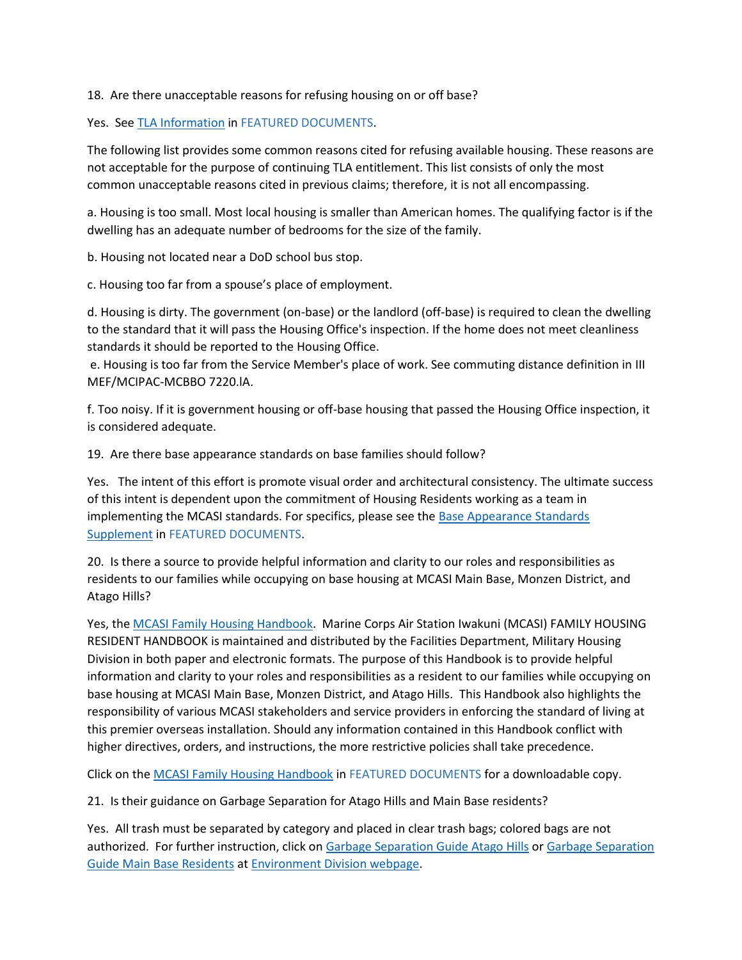18. Are there unacceptable reasons for refusing housing on or off base?

Yes. See [TLA Information](https://www.mcasiwakuni.marines.mil/Portals/112/Docs/MFH/TLA.pdf) in FEATURED DOCUMENTS.

The following list provides some common reasons cited for refusing available housing. These reasons are not acceptable for the purpose of continuing TLA entitlement. This list consists of only the most common unacceptable reasons cited in previous claims; therefore, it is not all encompassing.

a. Housing is too small. Most local housing is smaller than American homes. The qualifying factor is if the dwelling has an adequate number of bedrooms for the size of the family.

b. Housing not located near a DoD school bus stop.

c. Housing too far from a spouse's place of employment.

d. Housing is dirty. The government (on-base) or the landlord (off-base) is required to clean the dwelling to the standard that it will pass the Housing Office's inspection. If the home does not meet cleanliness standards it should be reported to the Housing Office.

e. Housing is too far from the Service Member's place of work. See commuting distance definition in III MEF/MCIPAC-MCBBO 7220.lA.

f. Too noisy. If it is government housing or off-base housing that passed the Housing Office inspection, it is considered adequate.

19. Are there base appearance standards on base families should follow?

Yes. The intent of this effort is promote visual order and architectural consistency. The ultimate success of this intent is dependent upon the commitment of Housing Residents working as a team in implementing the MCASI standards. For specifics, please see the [Base Appearance Standards](https://www.mcasiwakuni.marines.mil/Portals/112/Docs/MFH/Base_Appearance_Standards_Supplement_20210826.pdf)  [Supplement](https://www.mcasiwakuni.marines.mil/Portals/112/Docs/MFH/Base_Appearance_Standards_Supplement_20210826.pdf) in FEATURED DOCUMENTS.

20. Is there a source to provide helpful information and clarity to our roles and responsibilities as residents to our families while occupying on base housing at MCASI Main Base, Monzen District, and Atago Hills?

Yes, the [MCASI Family Housing Handbook.](https://www.mcasiwakuni.marines.mil/Portals/112/Docs/MFH/Family_Housing_Handbook_20210826.pdf) Marine Corps Air Station Iwakuni (MCASI) FAMILY HOUSING RESIDENT HANDBOOK is maintained and distributed by the Facilities Department, Military Housing Division in both paper and electronic formats. The purpose of this Handbook is to provide helpful information and clarity to your roles and responsibilities as a resident to our families while occupying on base housing at MCASI Main Base, Monzen District, and Atago Hills. This Handbook also highlights the responsibility of various MCASI stakeholders and service providers in enforcing the standard of living at this premier overseas installation. Should any information contained in this Handbook conflict with higher directives, orders, and instructions, the more restrictive policies shall take precedence.

Click on th[e MCASI Family Housing Handbook](https://www.mcasiwakuni.marines.mil/Portals/112/Docs/MFH/Family_Housing_Handbook_20210826.pdf) in FEATURED DOCUMENTS for a downloadable copy.

21. Is their guidance on Garbage Separation for Atago Hills and Main Base residents?

Yes. All trash must be separated by category and placed in clear trash bags; colored bags are not authorized. For further instruction, click on [Garbage Separation Guide Atago Hills](https://www.mcasiwakuni.marines.mil/Portals/112/Docs/fac/env/Garbage_Separation_Guide_Atago_Hills.pdf?ver=Q4pZjiMFBcI6iH5t1BfXDg%3d%3d) or Garbage Separation [Guide Main Base Residents](https://www.mcasiwakuni.marines.mil/Portals/112/Docs/fac/env/Garbage_Separation_Guide_Main_Base.pdf?ver=Q4pZjiMFBcI6iH5t1BfXDg%3d%3d) at [Environment Division webpage.](https://www.mcasiwakuni.marines.mil/Organizations/Station/Facilities/Environmental/)